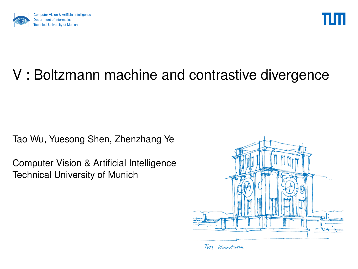<span id="page-0-0"></span>



## V : Boltzmann machine and contrastive divergence

Tao Wu, Yuesong Shen, Zhenzhang Ye

Computer Vision & Artificial Intelligence Technical University of Munich

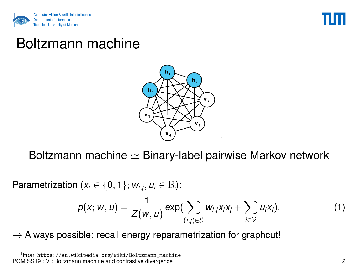



### Boltzmann machine



Boltzmann machine  $\simeq$  Binary-label pairwise Markov network

Parametrization ( $x_i \in \{0, 1\}$ ;  $w_{i,j}, u_i \in \mathbb{R}$ ):

$$
p(x; w, u) = \frac{1}{Z(w, u)} \exp(\sum_{(i,j)\in \mathcal{E}} w_{i,j}x_i x_j + \sum_{i\in \mathcal{V}} u_i x_i).
$$
 (1)

 $\rightarrow$  Always possible: recall energy reparametrization for graphcut!

<sup>1</sup>From [https://en.wikipedia.org/wiki/Boltzmann\\_machine](https://en.wikipedia.org/wiki/Boltzmann_machine) PGM SS19 :  $\dot{V}$  : Boltzmann machine and contrastive divergence 2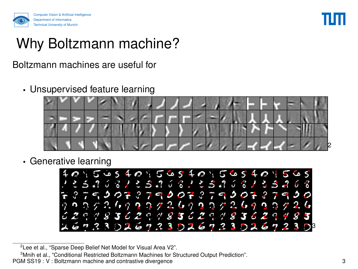



### Why Boltzmann machine?

#### Boltzmann machines are useful for

• Unsupervised feature learning



• Generative learning



<sup>2</sup>Lee et al., ["Sparse Deep Belief Net Model for Visual Area V2".](#page-0-0)

<sup>3</sup>Mnih et al., ["Conditional Restricted Boltzmann Machines for Structured Output Prediction".](#page-0-0)

PGM SS19 : V : Boltzmann machine and contrastive divergence 3  $\sim$  3  $\sim$  3  $\sim$  3  $\sim$  3  $\sim$  3  $\sim$  3  $\sim$  3  $\sim$  3  $\sim$  3  $\sim$  3  $\sim$  3  $\sim$  3  $\sim$  3  $\sim$  3  $\sim$  3  $\sim$  3  $\sim$  3  $\sim$  3  $\sim$  3  $\sim$  3  $\sim$  3  $\sim$  3  $\sim$  3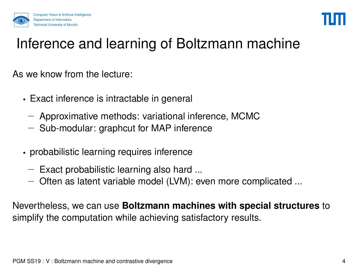



## Inference and learning of Boltzmann machine

As we know from the lecture:

- Exact inference is intractable in general
	- − Approximative methods: variational inference, MCMC
	- − Sub-modular: graphcut for MAP inference
- probabilistic learning requires inference
	- − Exact probabilistic learning also hard ...
	- − Often as latent variable model (LVM): even more complicated ...

Nevertheless, we can use **Boltzmann machines with special structures** to simplify the computation while achieving satisfactory results.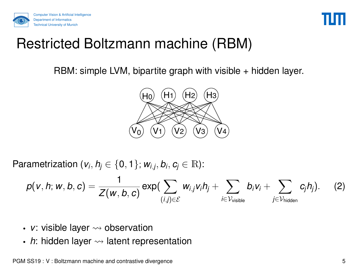



### Restricted Boltzmann machine (RBM)

RBM: simple LVM, bipartite graph with visible + hidden layer.



Parametrization ( $v_i$ ,  $h_j \in \{0, 1\}$ ;  $w_{i,j}$ ,  $b_i$ ,  $c_j \in \mathbb{R}$ ):

$$
p(v,h;w,b,c) = \frac{1}{Z(w,b,c)} \exp(\sum_{(i,j) \in \mathcal{E}} w_{i,j} v_i h_j + \sum_{i \in \mathcal{V}_{\text{visible}}} b_i v_i + \sum_{j \in \mathcal{V}_{\text{hidden}}} c_j h_j). \hspace{0.5cm} (2)
$$

- $v$ : visible layer  $\rightsquigarrow$  observation
- $h$ : hidden layer  $\rightsquigarrow$  latent representation

PGM SS19 : V : Boltzmann machine and contrastive divergence  $5\,$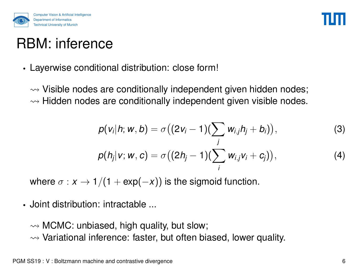



## RBM: inference

• Layerwise conditional distribution: close form!

 $\rightsquigarrow$  Visible nodes are conditionally independent given hidden nodes;  $\rightsquigarrow$  Hidden nodes are conditionally independent given visible nodes.

$$
p(v_i|h; w, b) = \sigma((2v_i - 1)(\sum_j w_{i,j}h_j + b_i)),
$$
  
\n
$$
p(h_j|v; w, c) = \sigma((2h_j - 1)(\sum_j w_{i,j}v_j + c_j)),
$$
\n(3)

*i*

where  $\sigma : x \to 1/(1 + \exp(-x))$  is the sigmoid function.

• Joint distribution: intractable ...

 $\rightsquigarrow$  MCMC: unbiased, high quality, but slow;

 $\rightsquigarrow$  Variational inference: faster, but often biased, lower quality.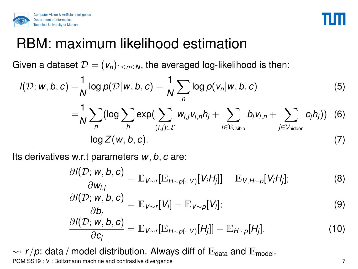



### RBM: maximum likelihood estimation

Given a dataset  $\mathcal{D} = (v_n)_{1 \le n \le N}$ , the averaged log-likelihood is then:

$$
I(\mathcal{D}; w, b, c) = \frac{1}{N} \log p(\mathcal{D}|w, b, c) = \frac{1}{N} \sum_{n} \log p(v_n|w, b, c)
$$
(5)  

$$
= \frac{1}{N} \sum_{n} (\log \sum_{h} exp(\sum_{(i,j) \in \mathcal{E}} w_{i,j} v_{i,n} h_j + \sum_{i \in \mathcal{V}_{visible}} b_i v_{i,n} + \sum_{j \in \mathcal{V}_{hidden}} c_j h_j))
$$
(6)  

$$
- \log Z(w, b, c).
$$

Its derivatives w.r.t parameters *w*, *b*, *c* are:

$$
\frac{\partial I(\mathcal{D}; w, b, c)}{\partial w_{i,j}} = \mathbb{E}_{V \sim r}[\mathbb{E}_{H \sim p(\cdot|V)}[V_i H_j]] - \mathbb{E}_{V, H \sim p}[V_i H_j]; \tag{8}
$$

$$
\frac{\partial I(\mathcal{D}; w, b, c)}{\partial b_i} = \mathbb{E}_{V \sim r}[V_i] - \mathbb{E}_{V \sim p}[V_i];\tag{9}
$$

$$
\frac{\partial I(\mathcal{D}; w, b, c)}{\partial c_j} = \mathbb{E}_{V \sim r}[\mathbb{E}_{H \sim p(\cdot|V)}[H_j]] - \mathbb{E}_{H \sim p}[H_j]. \qquad (10)
$$

 $\rightarrow$   $r/p$ : data / model distribution. Always diff of  $E_{data}$  and  $E_{model}$ . PGM SS19 : V : Boltzmann machine and contrastive divergence 7  $\frac{1}{2}$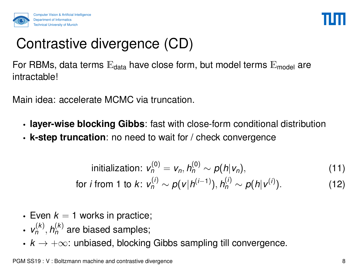

# Contrastive divergence (CD)

For RBMs, data terms  $E_{data}$  have close form, but model terms  $E_{model}$  are intractable!

Main idea: accelerate MCMC via truncation.

- **layer-wise blocking Gibbs**: fast with close-form conditional distribution
- **k-step truncation**: no need to wait for / check convergence

initialization: 
$$
v_n^{(0)} = v_n, h_n^{(0)} \sim p(h|v_n),
$$
 (11)

for *i* from 1 to *k*: 
$$
v_n^{(i)} \sim p(v|h^{(i-1)}), h_n^{(i)} \sim p(h|v^{(i)}).
$$
 (12)

- Even  $k = 1$  works in practice;
- $v_n^{(k)}, h_n^{(k)}$  are biased samples;
- $k \to +\infty$ : unbiased, blocking Gibbs sampling till convergence.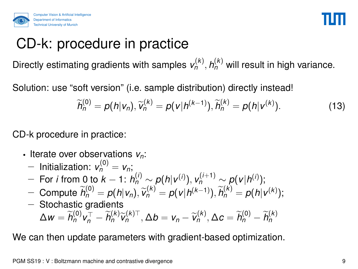



### CD-k: procedure in practice

Directly estimating gradients with samples  $v_n^{(k)}$ ,  $h_n^{(k)}$  will result in high variance.

Solution: use "soft version" (i.e. sample distribution) directly instead!

$$
\widetilde{h}_{n}^{(0)} = p(h|v_{n}), \widetilde{v}_{n}^{(k)} = p(v|h^{(k-1)}), \widetilde{h}_{n}^{(k)} = p(h|v^{(k)}).
$$
 (13)

CD-k procedure in practice:

- Iterate over observations *vn*:
	- $-$  Initialization:  $v_n^{(0)} = v_n$ ;
	- $-$  For *i* from 0 to  $k 1$ :  $h_n^{(i)} \sim p(h|v^{(i)}), v_n^{(i+1)} \sim p(v|h^{(i)});$
	- *n* <del>n</del> <del>*n*<sup>(0)</sup></sup> = *p*(*h*|*v*<sub>*n*</sub>),  $\widetilde{v}_n^{(k)} = p(v|h^{(k-1)}), \widetilde{h}_n^{(k)} = p(h|v^{(k)});$ <br>
	Steeheetie gradiente</sub></del>
	- − Stochastic gradients  $\Delta w = \widetilde{h}_{n}^{(0)} v_{n}^{\top} - \widetilde{h}_{n}^{(k)} \widetilde{v}_{n}^{(k)\top}, \Delta b = v_{n} - \widetilde{v}_{n}^{(k)}, \Delta c = \widetilde{h}_{n}^{(0)} - \widetilde{h}_{n}^{(k)}$ *n*

We can then update parameters with gradient-based optimization.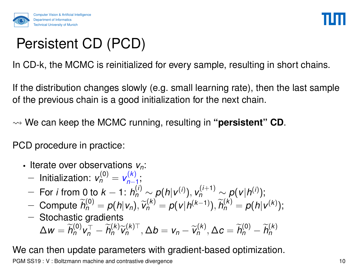

# Persistent CD (PCD)

In CD-k, the MCMC is reinitialized for every sample, resulting in short chains.

If the distribution changes slowly (e.g. small learning rate), then the last sample of the previous chain is a good initialization for the next chain.

We can keep the MCMC running, resulting in **"persistent" CD**.

PCD procedure in practice:

- Iterate over observations *vn*:
	- $-$  Initialization:  $v_n^{(0)} = v_{n-1}^{(k)}$ ,(^*)*<br>*n*−1
	- $−$  For *i* from 0 to  $k 1$ :  $h_n^{(i)} \sim p(h|v^{(i)}), v_n^{(i+1)} \sim p(v|h^{(i)});$
	- *n* <del>n</del> <del>*n*<sup>(0)</sup></sup> = *p*(*h*|*v*<sub>*n*</sub>),  $\widetilde{v}_n^{(k)} = p(v|h^{(k-1)}), \widetilde{h}_n^{(k)} = p(h|v^{(k)});$ <br>
	Steeheetie gradiente</sub></del>
	- − Stochastic gradients  $\Delta w = \widetilde{h}_{n}^{(0)} v_{n}^{\top} - \widetilde{h}_{n}^{(k)} \widetilde{v}_{n}^{(k)\top}, \Delta b = v_{n} - \widetilde{v}_{n}^{(k)}, \Delta c = \widetilde{h}_{n}^{(0)} - \widetilde{h}_{n}^{(k)}$ *n*

We can then update parameters with gradient-based optimization.

PGM SS19 : V : Boltzmann machine and contrastive divergence 10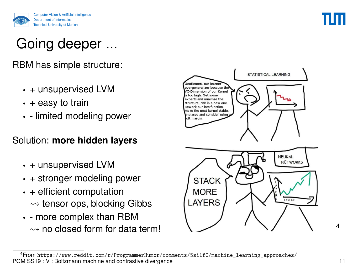

## Going deeper ...

RBM has simple structure:

- + unsupervised LVM
- $\cdot$  + easy to train
- - limited modeling power

#### Solution: **more hidden layers**

- + unsupervised LVM
- + stronger modeling power
- + efficient computation  $\rightsquigarrow$  tensor ops, blocking Gibbs
- - more complex than RBM  $\rightsquigarrow$  no closed form for data term!



<sup>4</sup>From [https://www.reddit.com/r/ProgrammerHumor/comments/5si1f0/machine\\_learning\\_approaches/](https://www.reddit.com/r/ProgrammerHumor/comments/5si1f0/machine_learning_approaches/) PGM SS19:  $\dot{V}$ : Boltzmann machine and contrastive divergence 11

4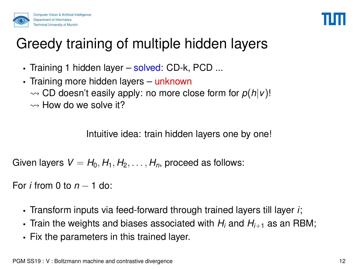



## Greedy training of multiple hidden layers

- Training 1 hidden layer solved: CD-k, PCD ...
- Training more hidden layers unknown  $\rightsquigarrow$  CD doesn't easily apply: no more close form for  $p(h|v)$ !  $\rightsquigarrow$  How do we solve it?

Intuitive idea: train hidden layers one by one!

Given layers  $V = H_0, H_1, H_2, \ldots, H_n$ , proceed as follows:

For *i* from 0 to *n* − 1 do:

- Transform inputs via feed-forward through trained layers till layer *i*;
- Train the weights and biases associated with  $H_i$  and  $H_{i+1}$  as an RBM;
- Fix the parameters in this trained layer.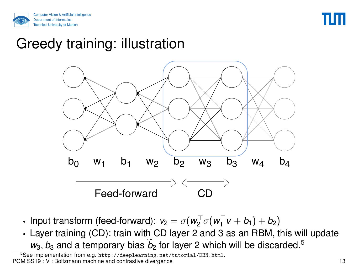



### Greedy training: illustration



- Input transform (feed-forward):  $v_2 = \sigma(w_2^\top \sigma(w_1^\top$  $y_1^{\perp} v + b_1) + b_2$
- Layer training (CD): train with CD layer 2 and 3 as an RBM, this will update  $w_3$ ,  $b_3$  and a temporary bias  $b_2$  for layer 2 which will be discarded.<sup>5</sup>

<sup>5</sup>See implementation from e.g. <http://deeplearning.net/tutorial/DBN.html>. PGM SS19: V: Boltzmann machine and contrastive divergence 13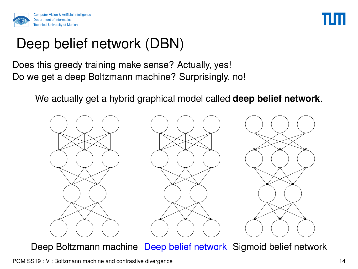



## Deep belief network (DBN)

Does this greedy training make sense? Actually, yes! Do we get a deep Boltzmann machine? Surprisingly, no!

We actually get a hybrid graphical model called **deep belief network**.



Deep Boltzmann machine Deep belief network Sigmoid belief network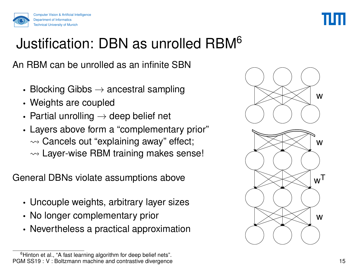



## Justification: DBN as unrolled RBM<sup>6</sup>

An RBM can be unrolled as an infinite SBN

- Blocking Gibbs  $\rightarrow$  ancestral sampling
- Weights are coupled
- Partial unrolling  $\rightarrow$  deep belief net
- Layers above form a "complementary prior"  $\rightsquigarrow$  Cancels out "explaining away" effect;  $\rightsquigarrow$  Layer-wise RBM training makes sense!

General DBNs violate assumptions above

- Uncouple weights, arbitrary layer sizes
- No longer complementary prior
- Nevertheless a practical approximation

<sup>&</sup>lt;sup>6</sup>Hinton et al., ["A fast learning algorithm for deep belief nets".](#page-0-0) PGM SS19 : V : Boltzmann machine and contrastive divergence 15

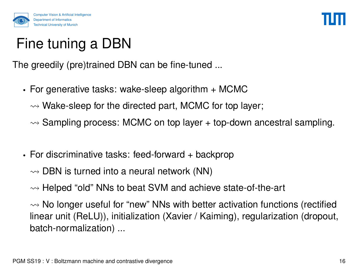

# Fine tuning a DBN

The greedily (pre)trained DBN can be fine-tuned ...

- For generative tasks: wake-sleep algorithm + MCMC
	- $\rightsquigarrow$  Wake-sleep for the directed part, MCMC for top layer;
	- $\rightsquigarrow$  Sampling process: MCMC on top layer  $+$  top-down ancestral sampling.
- For discriminative tasks: feed-forward + backprop

 $\rightsquigarrow$  DBN is turned into a neural network (NN)

 $\rightsquigarrow$  Helped "old" NNs to beat SVM and achieve state-of-the-art

 $\rightsquigarrow$  No longer useful for "new" NNs with better activation functions (rectified linear unit (ReLU)), initialization (Xavier / Kaiming), regularization (dropout, batch-normalization) ...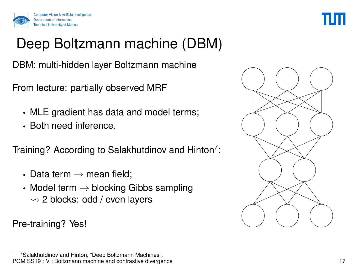



## Deep Boltzmann machine (DBM)

DBM: multi-hidden layer Boltzmann machine

From lecture: partially observed MRF

- MLE gradient has data and model terms;
- Both need inference.

Training? According to Salakhutdinov and Hinton<sup>7</sup>:

- Data term  $\rightarrow$  mean field;
- Model term  $\rightarrow$  blocking Gibbs sampling  $\rightsquigarrow$  2 blocks: odd / even layers

Pre-training? Yes!

<sup>7</sup>Salakhutdinov and Hinton, ["Deep Boltzmann Machines".](#page-0-0) PGM SS19 : V : Boltzmann machine and contrastive divergence 17 17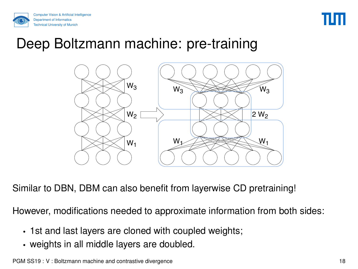



### Deep Boltzmann machine: pre-training



Similar to DBN, DBM can also benefit from layerwise CD pretraining!

However, modifications needed to approximate information from both sides:

- 1st and last layers are cloned with coupled weights;
- weights in all middle layers are doubled.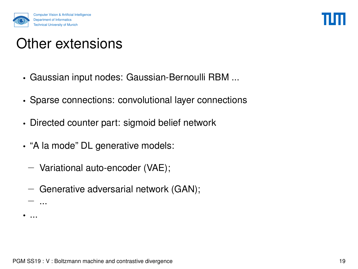

## Other extensions

- Gaussian input nodes: Gaussian-Bernoulli RBM ...
- Sparse connections: convolutional layer connections
- Directed counter part: sigmoid belief network
- "A la mode" DL generative models:
	- − Variational auto-encoder (VAE);
	- − Generative adversarial network (GAN);
	- − ...
- ...